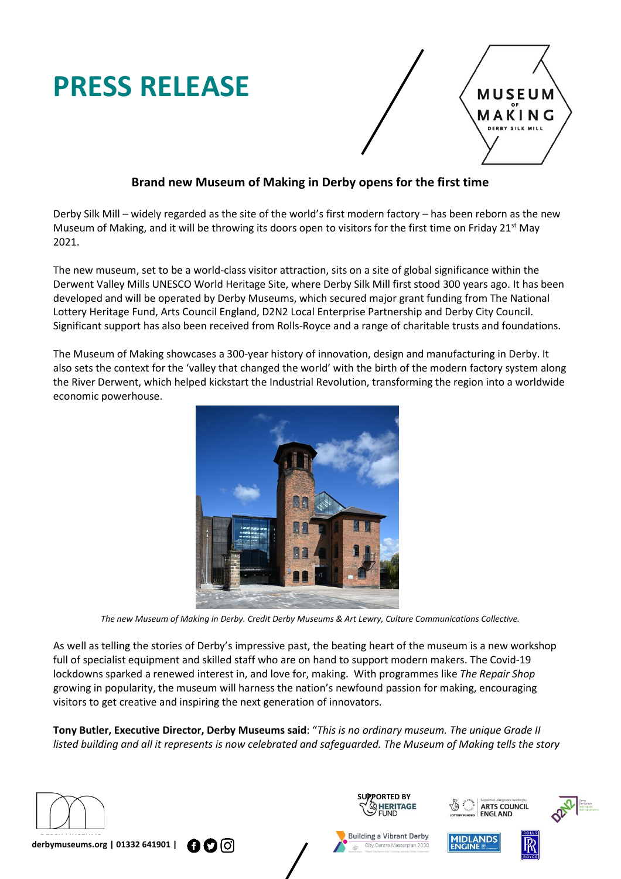# **PRESS RELEASE**



# **Brand new Museum of Making in Derby opens for the first time**

Derby Silk Mill – widely regarded as the site of the world's first modern factory – has been reborn as the new Museum of Making, and it will be throwing its doors open to visitors for the first time on Friday 21<sup>st</sup> May 2021.

The new museum, set to be a world-class visitor attraction, sits on a site of global significance within the Derwent Valley Mills UNESCO World Heritage Site, where Derby Silk Mill first stood 300 years ago. It has been developed and will be operated by Derby Museums, which secured major grant funding from The National Lottery [Heritage](https://www.heritagefund.org.uk/) Fund, Arts Council [England,](https://www.artscouncil.org.uk/) [D2N2](http://www.d2n2lep.org/) Local Enterprise Partnership and Derby City Council. Significant support has also been received from Rolls-Royce and a range of charitable trusts and foundations.

The Museum of Making showcases a 300-year history of innovation, design and manufacturing in Derby. It also sets the context for the 'valley that changed the world' with the birth of the modern factory system along the River Derwent, which helped kickstart the Industrial Revolution, transforming the region into a worldwide economic powerhouse.



*The new Museum of Making in Derby. Credit Derby Museums & Art Lewry, Culture Communications Collective.*

As well as telling the stories of Derby's impressive past, the beating heart of the museum is a new workshop full of specialist equipment and skilled staff who are on hand to support modern makers. The Covid-19 lockdowns sparked a renewed interest in, and love for, making. With programmes like *The Repair Shop* growing in popularity, the museum will harness the nation's newfound passion for making, encouraging visitors to get creative and inspiring the next generation of innovators.

**Tony Butler, Executive Director, Derby Museums said**: "*This is no ordinary museum. The unique Grade II* listed building and all it represents is now celebrated and safeguarded. The Museum of Making tells the story











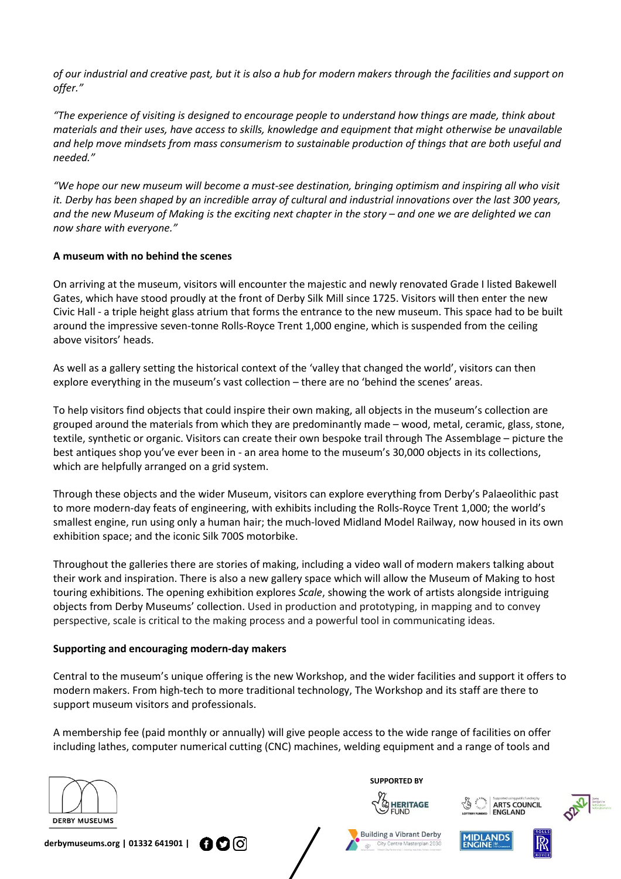of our industrial and creative past, but it is also a hub for modern makers through the facilities and support on *offer."*

*"The experience of visiting is designed to encourage people to understand how things are made, think about materials and their uses, have access to skills, knowledge and equipment that might otherwise be unavailable and help move mindsets from mass consumerism to sustainable production of things that are both useful and needed."*

*"We hope our new museum will become a must-see destination, bringing optimism and inspiring all who visit* it. Derby has been shaped by an incredible array of cultural and industrial innovations over the last 300 years, and the new Museum of Making is the exciting next chapter in the story - and one we are delighted we can *now share with everyone."*

# **A museum with no behind the scenes**

On arriving at the museum, visitors will encounter the majestic and newly renovated Grade I listed Bakewell Gates, which have stood proudly at the front of Derby Silk Mill since 1725. Visitors will then enter the new Civic Hall - a triple height glass atrium that forms the entrance to the new museum. This space had to be built around the impressive seven-tonne Rolls-Royce Trent 1,000 engine, which is suspended from the ceiling above visitors' heads.

As well as a gallery setting the historical context of the 'valley that changed the world', visitors can then explore everything in the museum's vast collection – there are no 'behind the scenes' areas.

To help visitors find objects that could inspire their own making, all objects in the museum's collection are grouped around the materials from which they are predominantly made – wood, metal, ceramic, glass, stone, textile, synthetic or organic. Visitors can create their own bespoke trail through The Assemblage – picture the best antiques shop you've ever been in - an area home to the museum's 30,000 objects in its collections, which are helpfully arranged on a grid system.

Through these objects and the wider Museum, visitors can explore everything from Derby's Palaeolithic past to more modern-day feats of engineering, with exhibits including the Rolls-Royce Trent 1,000; the world's smallest engine, run using only a human hair; the much-loved Midland Model Railway, now housed in its own exhibition space; and the iconic Silk 700S motorbike.

Throughout the galleries there are stories of making, including a video wall of modern makers talking about their work and inspiration. There is also a new gallery space which will allow the Museum of Making to host touring exhibitions. The opening exhibition explores *Scale*, showing the work of artists alongside intriguing objects from Derby Museums' collection. Used in production and prototyping, in mapping and to convey perspective, scale is critical to the making process and a powerful tool in communicating ideas.

# **Supporting and encouraging modern-day makers**

Central to the museum's unique offering is the new Workshop, and the wider facilities and support it offers to modern makers. From high-tech to more traditional technology, The Workshop and its staff are there to support museum visitors and professionals.

A membership fee (paid monthly or annually) will give people access to the wide range of facilities on offer including lathes, computer numerical cutting (CNC) machines, welding equipment and a range of tools and



**derbymuseums.org | 01332 641901 |**   $000$ 



**SUPPORTED BY**



Building a Vibrant Derby



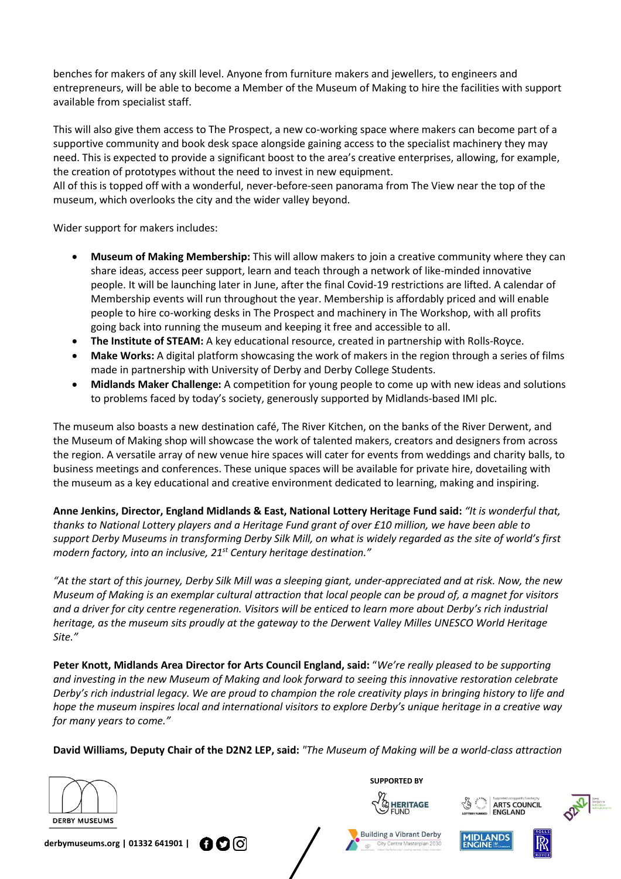benches for makers of any skill level. Anyone from furniture makers and jewellers, to engineers and entrepreneurs, will be able to become a Member of the Museum of Making to hire the facilities with support available from specialist staff.

This will also give them access to The Prospect, a new co-working space where makers can become part of a supportive community and book desk space alongside gaining access to the specialist machinery they may need. This is expected to provide a significant boost to the area's creative enterprises, allowing, for example, the creation of prototypes without the need to invest in new equipment.

All of this is topped off with a wonderful, never-before-seen panorama from The View near the top of the museum, which overlooks the city and the wider valley beyond.

Wider support for makers includes:

- **Museum of Making Membership:** This will allow makers to join a creative community where they can share ideas, access peer support, learn and teach through a network of like-minded innovative people. It will be launching later in June, after the final Covid-19 restrictions are lifted. A calendar of Membership events will run throughout the year. Membership is affordably priced and will enable people to hire co-working desks in The Prospect and machinery in The Workshop, with all profits going back into running the museum and keeping it free and accessible to all.
- **The Institute of STEAM:** A key educational resource, created in partnership with Rolls-Royce.
- **Make Works:** A digital platform showcasing the work of makers in the region through a series of films made in partnership with University of Derby and Derby College Students.
- **Midlands Maker Challenge:** A competition for young people to come up with new ideas and solutions to problems faced by today's society, generously supported by Midlands-based IMI plc.

The museum also boasts a new destination café, The River Kitchen, on the banks of the River Derwent, and the Museum of Making shop will showcase the work of talented makers, creators and designers from across the region. A versatile array of new venue hire spaces will cater for events from weddings and charity balls, to business meetings and conferences. These unique spaces will be available for private hire, dovetailing with the museum as a key educational and creative environment dedicated to learning, making and inspiring.

**Anne Jenkins, Director, England Midlands & East, National Lottery Heritage Fund said:** *"It is wonderful that,* thanks to National Lottery players and a Heritage Fund grant of over £10 million, we have been able to support Derby Museums in transforming Derby Silk Mill, on what is widely regarded as the site of world's first *modern factory, into an inclusive, 21st Century heritage destination."*

"At the start of this journey, Derby Silk Mill was a sleeping giant, under-appreciated and at risk. Now, the new Museum of Making is an exemplar cultural attraction that local people can be proud of, a magnet for visitors and a driver for city centre regeneration. Visitors will be enticed to learn more about Derby's rich industrial *heritage, as the museum sits proudly at the gateway to the Derwent Valley Milles UNESCO World Heritage Site."*

**Peter Knott, Midlands Area Director for Arts Council England, said:** "*We're really pleased to be supporting* and investing in the new Museum of Making and look forward to seeing this innovative restoration celebrate Derby's rich industrial legacy. We are proud to champion the role creativity plays in bringing history to life and hope the museum inspires local and international visitors to explore Derby's unique heritage in a creative way *for many years to come."*

David Williams, Deputy Chair of the D2N2 LEP, said: "The Museum of Making will be a world-class attraction





**SUPPORTED BY**









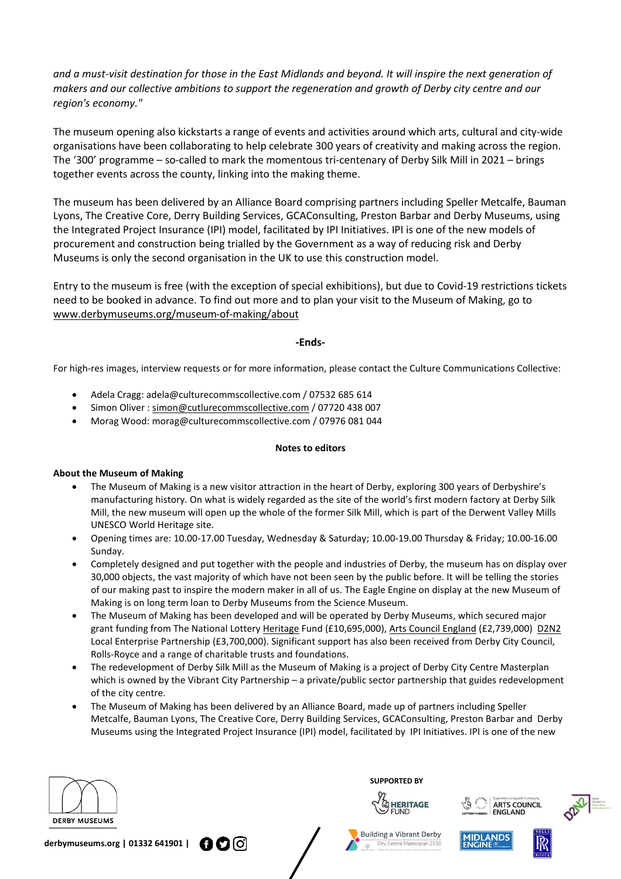and a must-visit destination for those in the East Midlands and beyond. It will inspire the next generation of *makers and our collective ambitions to support the regeneration and growth of Derby city centre and our region's economy."*

The museum opening also kickstarts a range of events and activities around which arts, cultural and city-wide organisations have been collaborating to help celebrate 300 years of creativity and making across the region. The '300' programme – so-called to mark the momentous tri-centenary of Derby Silk Mill in 2021 – brings together events across the county, linking into the making theme.

The museum has been delivered by an Alliance Board comprising partners including Speller Metcalfe, Bauman Lyons, The Creative Core, Derry Building Services, GCAConsulting, Preston Barbar and Derby Museums, using the Integrated Project Insurance (IPI) model, facilitated by IPI Initiatives. IPI is one of the new models of procurement and construction being trialled by the Government as a way of reducing risk and Derby Museums is only the second organisation in the UK to use this construction model.

Entry to the museum is free (with the exception of special exhibitions), but due to Covid-19 restrictions tickets need to be booked in advance. To find out more and to plan your visit to the Museum of Making, go to [www.derbymuseums.org/museum-of-making/about](http://www.derbymuseums.org/museum-of-making)

### **-Ends-**

For high-res images, interview requests or for more information, please contact the Culture Communications Collective:

- Adela Cragg: [adela@culturecommscollective.com](mailto:adela@culturecommscollective.com) / 07532 685 614
- Simon Oliver : [simon@cutlurecommscollective.com](mailto:simon@cutlurecommscollective.com) / 07720 438 007
- Morag Wood: [morag@culturecommscollective.com](mailto:morag@culturecommscollective.com) / 07976 081 044

#### **Notes to editors**

#### **About the Museum of Making**

- The Museum of Making is a new visitor attraction in the heart of Derby, exploring 300 years of Derbyshire's manufacturing history. On what is widely regarded as the site of the world's first modern factory at Derby Silk Mill, the new museum will open up the whole of the former Silk Mill, which is part of the Derwent Valley Mills UNESCO World Heritage site.
- Opening times are: 10.00-17.00 Tuesday, Wednesday & Saturday; 10.00-19.00 Thursday & Friday; 10.00-16.00 Sunday.
- Completely designed and put together with the people and industries of Derby, the museum has on display over 30,000 objects, the vast majority of which have not been seen by the public before. It will be telling the stories of our making past to inspire the modern maker in all of us. The Eagle Engine on display at the new Museum of Making is on long term loan to Derby Museums from the Science Museum.
- The Museum of Making has been developed and will be operated by Derby Museums, which secured major grant funding from The National Lottery [Heritage](https://www.heritagefund.org.uk/) Fund (£10,695,000), Arts Council [England](https://www.artscouncil.org.uk/) (£2,739,000) [D2N2](http://www.d2n2lep.org/) Local Enterprise Partnership (£3,700,000). Significant support has also been received from Derby City Council, Rolls-Royce and a range of charitable trusts and foundations.
- The redevelopment of Derby Silk Mill as the Museum of Making is a project of Derby City Centre Masterplan which is owned by the Vibrant City Partnership – a private/public sector partnership that guides redevelopment of the city centre.
- The Museum of Making has been delivered by an Alliance Board, made up of partners including [Speller](https://spellermetcalfe.com/) [Metcalfe,](https://spellermetcalfe.com/) [Bauman](https://baumanlyons.co.uk/) Lyons, The [Creative](https://thecreativecore.co.uk/) Core, Derry Building [Services,](https://www.derry-bs.com/) [GCAConsulting,](https://www.gca-consulting.com/) [Preston](http://prestonbarber.co.uk/) Barbar and [Derby](https://www.derbymuseums.org/) [Museums](https://www.derbymuseums.org/) using the Integrated Project Insurance (IPI) model, facilitated by IPI [Initiatives.](https://www.ipinitiatives.co.uk/) IPI is one of the new



**SUPPORTED BY**

 $\frac{1}{(1)}$ 



Building a Vibrant Derby Centre Masterplan 2







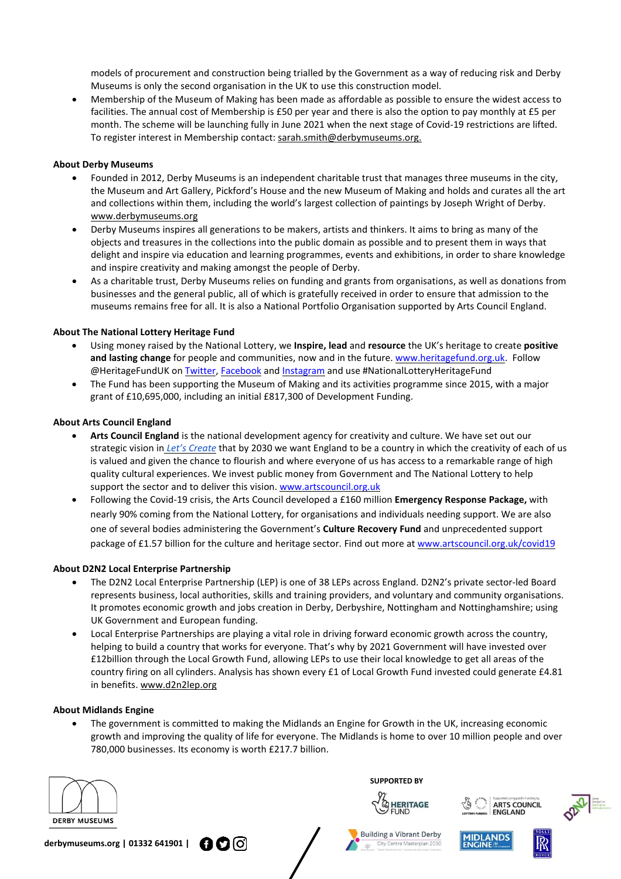models of procurement and construction being trialled by the Government as a way of reducing risk and Derby Museums is only the second organisation in the UK to use this construction model.

• Membership of the Museum of Making has been made as affordable as possible to ensure the widest access to facilities. The annual cost of Membership is £50 per year and there is also the option to pay monthly at £5 per month. The scheme will be launching fully in June 2021 when the next stage of Covid-19 restrictions are lifted. To register interest in Membership contact: [sarah.smith@derbymuseums.org.](mailto:sarah.smith@derbymuseums.org)

#### **About Derby Museums**

- Founded in 2012, Derby Museums is an independent charitable trust that manages three museums in the city, the Museum and Art Gallery, Pickford's House and the new Museum of Making and holds and curates all the art and collections within them, including the world's largest collection of paintings by Joseph Wright of Derby. [www.derbymuseums.org](http://www.derbymuseums.org/)
- Derby Museums inspires all generations to be makers, artists and thinkers. It aims to bring as many of the objects and treasures in the collections into the public domain as possible and to present them in ways that delight and inspire via education and learning programmes, events and exhibitions, in order to share knowledge and inspire creativity and making amongst the people of Derby.
- As a charitable trust, Derby Museums relies on funding and grants from organisations, as well as donations from businesses and the general public, all of which is gratefully received in order to ensure that admission to the museums remains free for all. It is also a National Portfolio Organisation supported by Arts Council England.

#### **About The National Lottery Heritage Fund**

- Using money raised by the National Lottery, we **Inspire, lead** and **resource** the UK's heritage to create **positive and lasting change** for people and communities, now and in the future. [www.heritagefund.org.uk.](http://www.heritagefund.org.uk/) Follow @HeritageFundUK on [Twitter,](https://gbr01.safelinks.protection.outlook.com/?url=https%3A%2F%2Ftwitter.com%2FHeritageFundUK&data=04%7C01%7Cjeremy.fenn%40heritagefund.org.uk%7Cb8171d161da64699ee0f08d90fc518b3%7C242ef33def184a01b2940da2d8fc58e3%7C0%7C0%7C637558161458759982%7CUnknown%7CTWFpbGZsb3d8eyJWIjoiMC4wLjAwMDAiLCJQIjoiV2luMzIiLCJBTiI6Ik1haWwiLCJXVCI6Mn0%3D%7C1000&sdata=NtwPReg05AvMi%2FdAiI7H3TWiIhBBa0%2F1BR1vBWoWWcc%3D&reserved=0) [Facebook](https://gbr01.safelinks.protection.outlook.com/?url=https%3A%2F%2Fwww.facebook.com%2FHeritageFundUK&data=04%7C01%7Cjeremy.fenn%40heritagefund.org.uk%7Cb8171d161da64699ee0f08d90fc518b3%7C242ef33def184a01b2940da2d8fc58e3%7C0%7C0%7C637558161458759982%7CUnknown%7CTWFpbGZsb3d8eyJWIjoiMC4wLjAwMDAiLCJQIjoiV2luMzIiLCJBTiI6Ik1haWwiLCJXVCI6Mn0%3D%7C1000&sdata=qVLNi%2F1kLhX2qOoqYYtRWJPOKz6dBLG7Qz2tM3kSc1U%3D&reserved=0) and [Instagram](https://gbr01.safelinks.protection.outlook.com/?url=https%3A%2F%2Fwww.instagram.com%2Fheritagefunduk%2F&data=04%7C01%7Cjeremy.fenn%40heritagefund.org.uk%7Cb8171d161da64699ee0f08d90fc518b3%7C242ef33def184a01b2940da2d8fc58e3%7C0%7C0%7C637558161458769940%7CUnknown%7CTWFpbGZsb3d8eyJWIjoiMC4wLjAwMDAiLCJQIjoiV2luMzIiLCJBTiI6Ik1haWwiLCJXVCI6Mn0%3D%7C1000&sdata=Kilo8bl8bbLi1tKCm3IwKEa3TVd41LC6bRL803L66RI%3D&reserved=0) and use #NationalLotteryHeritageFund
- The Fund has been supporting the Museum of Making and its activities programme since 2015, with a major grant of £10,695,000, including an initial £817,300 of Development Funding.

#### **About Arts Council England**

- **Arts Council England** is the national development agency for creativity and culture. We have set out our strategic vision i[n](https://www.artscouncil.org.uk/letscreate) *Let's [Create](https://www.artscouncil.org.uk/letscreate)* that by 2030 we want England to be a country in which the creativity of each of us is valued and given the chance to flourish and where everyone of us has access to a remarkable range of high quality cultural experiences. We invest public money from Government and The National Lottery to help support the sector and to deliver this vision. [www.artscouncil.org.uk](http://www.artscouncil.org.uk/)
- Following the Covid-19 crisis, the Arts Council developed a £160 million **Emergency Response Package,** with nearly 90% coming from the National Lottery, for organisations and individuals needing support. We are also one of several bodies administering the Government's **Culture Recovery Fund** and unprecedented support package of £1.57 billion for the culture and heritage sector. Find out more at [www.artscouncil.org.uk/covid19](http://www.artscouncil.org.uk/covid19)

#### **About D2N2 Local Enterprise Partnership**

- The D2N2 Local Enterprise Partnership (LEP) is one of 38 LEPs across England. D2N2's private sector-led Board represents business, local authorities, skills and training providers, and voluntary and community organisations. It promotes economic growth and jobs creation in Derby, Derbyshire, Nottingham and Nottinghamshire; using UK Government and European funding.
- Local Enterprise Partnerships are playing a vital role in driving forward economic growth across the country, helping to build a country that works for everyone. That's why by 2021 Government will have invested over £12billion through the Local Growth Fund, allowing LEPs to use their local knowledge to get all areas of the country firing on all cylinders. Analysis has shown every £1 of Local Growth Fund invested could generate £4.81 in benefits. www.d2n2lep.org

#### **About Midlands Engine**

• The government is committed to making the Midlands an Engine for Growth in the UK, increasing economic growth and improving the quality of life for everyone. The Midlands is home to over 10 million people and over 780,000 businesses. Its economy is worth £217.7 billion.



**SUPPORTED BY**



 $\frac{1}{(1)}$ 

Building a Vibrant Derby City Centre Masterplan 2